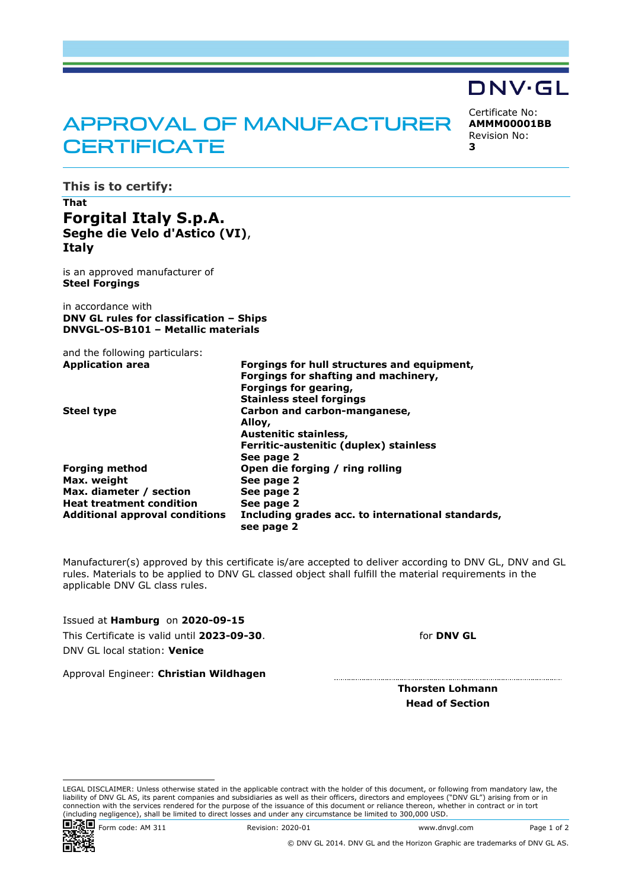# APPROVAL OF MANUFACTURER **CERTIFICATE**

DNV·GL Certificate No: **AMMM00001BB**

Revision No:

**3**

**This is to certify:**

## **That Forgital Italy S.p.A. Seghe die Velo d'Astico (VI)**, **Italy**

is an approved manufacturer of **Steel Forgings**

in accordance with **DNV GL rules for classification – Ships DNVGL-OS-B101 – Metallic materials**

and the following particulars: **Application area Forgings for hull structures and equipment,**

| Forgings for shafting and machinery,              |
|---------------------------------------------------|
| Forgings for gearing,                             |
| <b>Stainless steel forgings</b>                   |
| Carbon and carbon-manganese,                      |
| Alloy,                                            |
| Austenitic stainless,                             |
| Ferritic-austenitic (duplex) stainless            |
| See page 2                                        |
| Open die forging / ring rolling                   |
| See page 2                                        |
| See page 2                                        |
| See page 2                                        |
| Including grades acc. to international standards, |
| see page 2                                        |
|                                                   |

Manufacturer(s) approved by this certificate is/are accepted to deliver according to DNV GL, DNV and GL rules. Materials to be applied to DNV GL classed object shall fulfill the material requirements in the applicable DNV GL class rules.

Issued at **Hamburg** on **2020-09-15** This Certificate is valid until **2023-09-30**. DNV GL local station: **Venice**

for **DNV GL**

Approval Engineer: **Christian Wildhagen**

**Thorsten Lohmann Head of Section**

LEGAL DISCLAIMER: Unless otherwise stated in the applicable contract with the holder of this document, or following from mandatory law, the liability of DNV GL AS, its parent companies and subsidiaries as well as their officers, directors and employees ("DNV GL") arising from or in connection with the services rendered for the purpose of the issuance of this document or reliance thereon, whether in contract or in tort<br>(including negligence), shall be limited to direct losses and under any circumstanc



**回流通口** Form code: AM 311 Revision: 2020-01 Www.dnvgl.com Page 1 of 2

© DNV GL 2014. DNV GL and the Horizon Graphic are trademarks of DNV GL AS.